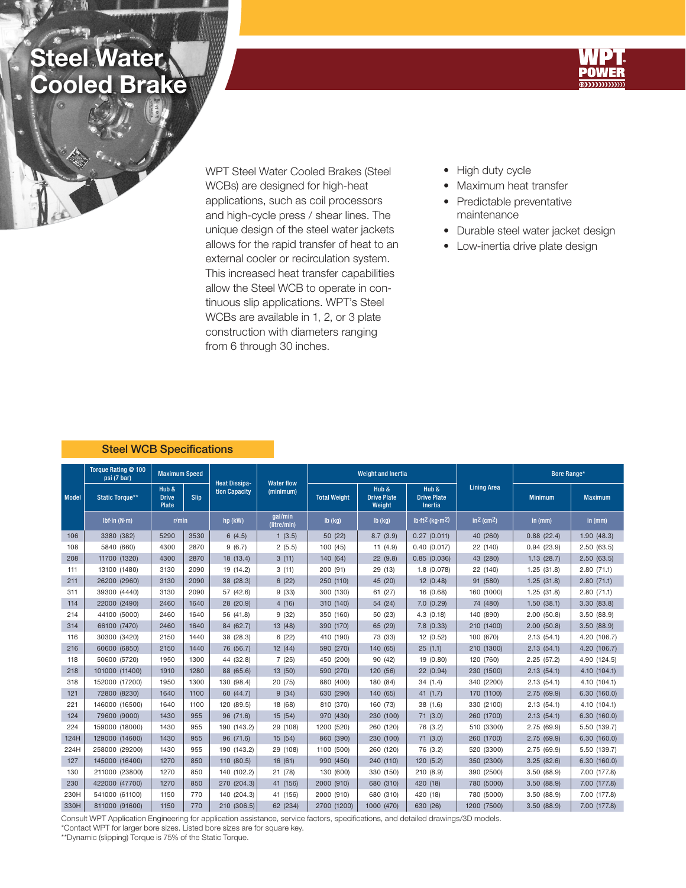## **Steel Water** Cooled Brake





WPT Steel Water Cooled Brakes (Steel WCBs) are designed for high-heat applications, such as coil processors and high-cycle press / shear lines. The unique design of the steel water jackets allows for the rapid transfer of heat to an external cooler or recirculation system. This increased heat transfer capabilities allow the Steel WCB to operate in continuous slip applications. WPT's Steel WCBs are available in 1, 2, or 3 plate construction with diameters ranging from 6 through 30 inches.

- High duty cycle
- Maximum heat transfer
- Predictable preventative maintenance
- Durable steel water jacket design
- Low-inertia drive plate design

## Steel WCB Specifications

| <b>Model</b> | Torque Rating @ 100<br>psi (7 bar) | <b>Maximum Speed</b>                   |      |                                       |                                |                     | <b>Weight and Inertia</b>             |                                        |                          | Bore Range*    |                |  |
|--------------|------------------------------------|----------------------------------------|------|---------------------------------------|--------------------------------|---------------------|---------------------------------------|----------------------------------------|--------------------------|----------------|----------------|--|
|              | <b>Static Torque**</b>             | Hub &<br>Slip<br><b>Drive</b><br>Plate |      | <b>Heat Dissipa-</b><br>tion Capacity | <b>Water flow</b><br>(minimum) | <b>Total Weight</b> | Hub &<br><b>Drive Plate</b><br>Weight | Hub &<br><b>Drive Plate</b><br>Inertia | <b>Lining Area</b>       | <b>Minimum</b> | <b>Maximum</b> |  |
|              | Ibf-in $(N \cdot m)$               | r/min                                  |      | hp (kW)                               | qal/min<br>(litre/min)         | $lb$ (kg)           | $Ib$ (kg)                             | lb-ft <sup>2</sup> (kg·m <sup>2)</sup> | $in2$ (cm <sup>2</sup> ) | in (mm)        | in (mm)        |  |
| 106          | 3380 (382)                         | 5290                                   | 3530 | 6(4.5)                                | 1(3.5)                         | 50 (22)             | 8.7(3.9)                              | 0.27(0.011)                            | 40 (260)                 | 0.88(22.4)     | 1.90(48.3)     |  |
| 108          | 5840 (660)                         | 4300                                   | 2870 | 9(6.7)                                | 2(5.5)                         | 100 (45)            | 11(4.9)                               | 0.40(0.017)                            | 22 (140)                 | 0.94(23.9)     | 2.50(63.5)     |  |
| 208          | 11700 (1320)                       | 4300                                   | 2870 | 18 (13.4)                             | 3(11)                          | 140 (64)            | 22(9.8)                               | 0.85(0.036)                            | 43 (280)                 | 1.13(28.7)     | 2.50(63.5)     |  |
| 111          | 13100 (1480)                       | 3130                                   | 2090 | 19 (14.2)                             | 3(11)                          | 200 (91)            | 29 (13)                               | 1.8 (0.078)                            | 22 (140)                 | 1.25(31.8)     | 2.80(71.1)     |  |
| 211          | 26200 (2960)                       | 3130                                   | 2090 | 38 (28.3)                             | 6(22)                          | 250 (110)           | 45 (20)                               | 12 (0.48)                              | 91 (580)                 | 1.25(31.8)     | 2.80(71.1)     |  |
| 311          | 39300 (4440)                       | 3130                                   | 2090 | 57 (42.6)                             | 9(33)                          | 300 (130)           | 61 (27)                               | 16 (0.68)                              | 160 (1000)               | 1.25(31.8)     | 2.80(71.1)     |  |
| 114          | 22000 (2490)                       | 2460                                   | 1640 | 28 (20.9)                             | 4(16)                          | 310 (140)           | 54 (24)                               | 7.0(0.29)                              | 74 (480)                 | 1.50(38.1)     | 3.30(83.8)     |  |
| 214          | 44100 (5000)                       | 2460                                   | 1640 | 56 (41.8)                             | 9(32)                          | 350 (160)           | 50 (23)                               | 4.3 (0.18)                             | 140 (890)                | 2.00(50.8)     | 3.50(88.9)     |  |
| 314          | 66100 (7470)                       | 2460                                   | 1640 | 84 (62.7)                             | 13 (48)                        | 390 (170)           | 65 (29)                               | 7.8(0.33)                              | 210 (1400)               | 2.00(50.8)     | 3.50(88.9)     |  |
| 116          | 30300 (3420)                       | 2150                                   | 1440 | 38 (28.3)                             | 6(22)                          | 410 (190)           | 73 (33)                               | 12 (0.52)                              | 100 (670)                | 2.13(54.1)     | 4.20 (106.7)   |  |
| 216          | 60600 (6850)                       | 2150                                   | 1440 | 76 (56.7)                             | 12(44)                         | 590 (270)           | 140 (65)                              | 25(1.1)                                | 210 (1300)               | 2.13(54.1)     | 4.20 (106.7)   |  |
| 118          | 50600 (5720)                       | 1950                                   | 1300 | 44 (32.8)                             | 7(25)                          | 450 (200)           | 90 (42)                               | 19 (0.80)                              | 120 (760)                | 2.25(57.2)     | 4.90 (124.5)   |  |
| 218          | 101000 (11400)                     | 1910                                   | 1280 | 88 (65.6)                             | 13 (50)                        | 590 (270)           | 120 (56)                              | 22 (0.94)                              | 230 (1500)               | 2.13(54.1)     | 4.10 (104.1)   |  |
| 318          | 152000 (17200)                     | 1950                                   | 1300 | 130 (98.4)                            | 20 (75)                        | 880 (400)           | 180 (84)                              | 34(1.4)                                | 340 (2200)               | 2.13(54.1)     | 4.10 (104.1)   |  |
| 121          | 72800 (8230)                       | 1640                                   | 1100 | 60 (44.7)                             | 9(34)                          | 630 (290)           | 140 (65)                              | 41(1.7)                                | 170 (1100)               | 2.75(69.9)     | 6.30(160.0)    |  |
| 221          | 146000 (16500)                     | 1640                                   | 1100 | 120 (89.5)                            | 18 (68)                        | 810 (370)           | 160 (73)                              | 38 (1.6)                               | 330 (2100)               | 2.13(54.1)     | 4.10 (104.1)   |  |
| 124          | 79600 (9000)                       | 1430                                   | 955  | 96 (71.6)                             | 15 (54)                        | 970 (430)           | 230 (100)                             | 71 (3.0)                               | 260 (1700)               | 2.13(54.1)     | 6.30(160.0)    |  |
| 224          | 159000 (18000)                     | 1430                                   | 955  | 190 (143.2)                           | 29 (108)                       | 1200 (520)          | 260 (120)                             | 76 (3.2)                               | 510 (3300)               | 2.75(69.9)     | 5.50 (139.7)   |  |
| 124H         | 129000 (14600)                     | 1430                                   | 955  | 96 (71.6)                             | 15 (54)                        | 860 (390)           | 230 (100)                             | 71(3.0)                                | 260 (1700)               | 2.75(69.9)     | 6.30(160.0)    |  |
| 224H         | 258000 (29200)                     | 1430                                   | 955  | 190 (143.2)                           | 29 (108)                       | 1100 (500)          | 260 (120)                             | 76 (3.2)                               | 520 (3300)               | 2.75(69.9)     | 5.50 (139.7)   |  |
| 127          | 145000 (16400)                     | 1270                                   | 850  | 110 (80.5)                            | 16(61)                         | 990 (450)           | 240 (110)                             | 120 (5.2)                              | 350 (2300)               | 3.25(82.6)     | 6.30(160.0)    |  |
| 130          | 211000 (23800)                     | 1270                                   | 850  | 140 (102.2)                           | 21 (78)                        | 130 (600)           | 330 (150)                             | 210 (8.9)                              | 390 (2500)               | 3.50(88.9)     | 7.00 (177.8)   |  |
| 230          | 422000 (47700)                     | 1270                                   | 850  | 270 (204.3)                           | 41 (156)                       | 2000 (910)          | 680 (310)                             | 420 (18)                               | 780 (5000)               | 3.50(88.9)     | 7.00 (177.8)   |  |
| 230H         | 541000 (61100)                     | 1150                                   | 770  | 140 (204.3)                           | 41 (156)                       | 2000 (910)          | 680 (310)                             | 420 (18)                               | 780 (5000)               | 3.50(88.9)     | 7.00 (177.8)   |  |
| 330H         | 811000 (91600)                     | 1150                                   | 770  | 210 (306.5)                           | 62 (234)                       | 2700 (1200)         | 1000 (470)                            | 630 (26)                               | 1200 (7500)              | 3.50(88.9)     | 7.00 (177.8)   |  |

Consult WPT Application Engineering for application assistance, service factors, specifications, and detailed drawings/3D models.

\*Contact WPT for larger bore sizes. Listed bore sizes are for square key.

\*\*Dynamic (slipping) Torque is 75% of the Static Torque.